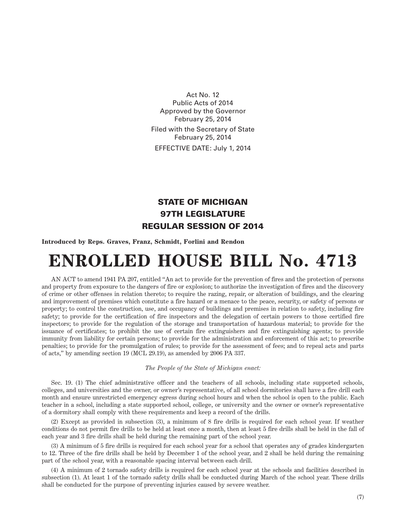Act No. 12 Public Acts of 2014 Approved by the Governor February 25, 2014 Filed with the Secretary of State February 25, 2014 EFFECTIVE DATE: July 1, 2014

## STATE OF MICHIGAN 97TH LEGISLATURE REGULAR SESSION OF 2014

**Introduced by Reps. Graves, Franz, Schmidt, Forlini and Rendon**

## **ENROLLED HOUSE BILL No. 4713**

AN ACT to amend 1941 PA 207, entitled "An act to provide for the prevention of fires and the protection of persons and property from exposure to the dangers of fire or explosion; to authorize the investigation of fires and the discovery of crime or other offenses in relation thereto; to require the razing, repair, or alteration of buildings, and the clearing and improvement of premises which constitute a fire hazard or a menace to the peace, security, or safety of persons or property; to control the construction, use, and occupancy of buildings and premises in relation to safety, including fire safety; to provide for the certification of fire inspectors and the delegation of certain powers to those certified fire inspectors; to provide for the regulation of the storage and transportation of hazardous material; to provide for the issuance of certificates; to prohibit the use of certain fire extinguishers and fire extinguishing agents; to provide immunity from liability for certain persons; to provide for the administration and enforcement of this act; to prescribe penalties; to provide for the promulgation of rules; to provide for the assessment of fees; and to repeal acts and parts of acts," by amending section 19 (MCL 29.19), as amended by 2006 PA 337.

*The People of the State of Michigan enact:*

Sec. 19. (1) The chief administrative officer and the teachers of all schools, including state supported schools, colleges, and universities and the owner, or owner's representative, of all school dormitories shall have a fire drill each month and ensure unrestricted emergency egress during school hours and when the school is open to the public. Each teacher in a school, including a state supported school, college, or university and the owner or owner's representative of a dormitory shall comply with these requirements and keep a record of the drills.

(2) Except as provided in subsection (3), a minimum of 8 fire drills is required for each school year. If weather conditions do not permit fire drills to be held at least once a month, then at least 5 fire drills shall be held in the fall of each year and 3 fire drills shall be held during the remaining part of the school year.

(3) A minimum of 5 fire drills is required for each school year for a school that operates any of grades kindergarten to 12. Three of the fire drills shall be held by December 1 of the school year, and 2 shall be held during the remaining part of the school year, with a reasonable spacing interval between each drill.

(4) A minimum of 2 tornado safety drills is required for each school year at the schools and facilities described in subsection (1). At least 1 of the tornado safety drills shall be conducted during March of the school year. These drills shall be conducted for the purpose of preventing injuries caused by severe weather.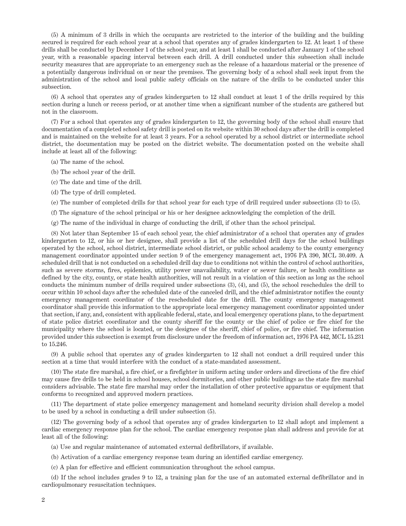(5) A minimum of 3 drills in which the occupants are restricted to the interior of the building and the building secured is required for each school year at a school that operates any of grades kindergarten to 12. At least 1 of these drills shall be conducted by December 1 of the school year, and at least 1 shall be conducted after January 1 of the school year, with a reasonable spacing interval between each drill. A drill conducted under this subsection shall include security measures that are appropriate to an emergency such as the release of a hazardous material or the presence of a potentially dangerous individual on or near the premises. The governing body of a school shall seek input from the administration of the school and local public safety officials on the nature of the drills to be conducted under this subsection.

(6) A school that operates any of grades kindergarten to 12 shall conduct at least 1 of the drills required by this section during a lunch or recess period, or at another time when a significant number of the students are gathered but not in the classroom.

(7) For a school that operates any of grades kindergarten to 12, the governing body of the school shall ensure that documentation of a completed school safety drill is posted on its website within 30 school days after the drill is completed and is maintained on the website for at least 3 years. For a school operated by a school district or intermediate school district, the documentation may be posted on the district website. The documentation posted on the website shall include at least all of the following:

- (a) The name of the school.
- (b) The school year of the drill.
- (c) The date and time of the drill.
- (d) The type of drill completed.
- (e) The number of completed drills for that school year for each type of drill required under subsections (3) to (5).
- (f) The signature of the school principal or his or her designee acknowledging the completion of the drill.
- (g) The name of the individual in charge of conducting the drill, if other than the school principal.

(8) Not later than September 15 of each school year, the chief administrator of a school that operates any of grades kindergarten to 12, or his or her designee, shall provide a list of the scheduled drill days for the school buildings operated by the school, school district, intermediate school district, or public school academy to the county emergency management coordinator appointed under section 9 of the emergency management act, 1976 PA 390, MCL 30.409. A scheduled drill that is not conducted on a scheduled drill day due to conditions not within the control of school authorities, such as severe storms, fires, epidemics, utility power unavailability, water or sewer failure, or health conditions as defined by the city, county, or state health authorities, will not result in a violation of this section as long as the school conducts the minimum number of drills required under subsections (3), (4), and (5), the school reschedules the drill to occur within 10 school days after the scheduled date of the canceled drill, and the chief administrator notifies the county emergency management coordinator of the rescheduled date for the drill. The county emergency management coordinator shall provide this information to the appropriate local emergency management coordinator appointed under that section, if any, and, consistent with applicable federal, state, and local emergency operations plans, to the department of state police district coordinator and the county sheriff for the county or the chief of police or fire chief for the municipality where the school is located, or the designee of the sheriff, chief of police, or fire chief. The information provided under this subsection is exempt from disclosure under the freedom of information act, 1976 PA 442, MCL 15.231 to 15.246.

(9) A public school that operates any of grades kindergarten to 12 shall not conduct a drill required under this section at a time that would interfere with the conduct of a state-mandated assessment.

(10) The state fire marshal, a fire chief, or a firefighter in uniform acting under orders and directions of the fire chief may cause fire drills to be held in school houses, school dormitories, and other public buildings as the state fire marshal considers advisable. The state fire marshal may order the installation of other protective apparatus or equipment that conforms to recognized and approved modern practices.

(11) The department of state police emergency management and homeland security division shall develop a model to be used by a school in conducting a drill under subsection (5).

(12) The governing body of a school that operates any of grades kindergarten to 12 shall adopt and implement a cardiac emergency response plan for the school. The cardiac emergency response plan shall address and provide for at least all of the following:

- (a) Use and regular maintenance of automated external defibrillators, if available.
- (b) Activation of a cardiac emergency response team during an identified cardiac emergency.
- (c) A plan for effective and efficient communication throughout the school campus.

(d) If the school includes grades 9 to 12, a training plan for the use of an automated external defibrillator and in cardiopulmonary resuscitation techniques.